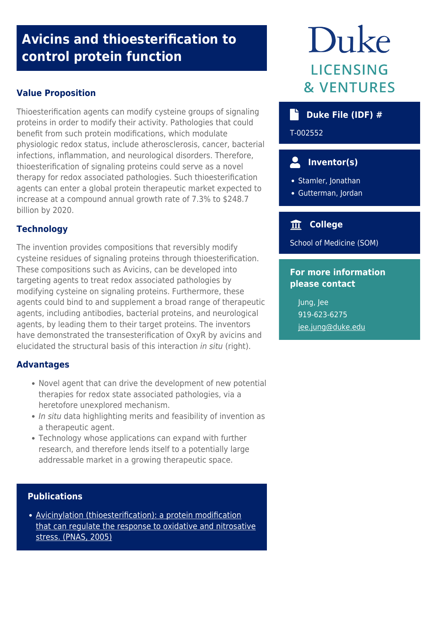# **Avicins and thioesterification to control protein function**

## **Value Proposition**

Thioesterification agents can modify cysteine groups of signaling proteins in order to modify their activity. Pathologies that could benefit from such protein modifications, which modulate physiologic redox status, include atherosclerosis, cancer, bacterial infections, inflammation, and neurological disorders. Therefore, thioesterification of signaling proteins could serve as a novel therapy for redox associated pathologies. Such thioesterification agents can enter a global protein therapeutic market expected to increase at a compound annual growth rate of 7.3% to \$248.7 billion by 2020.

# **Technology**

The invention provides compositions that reversibly modify cysteine residues of signaling proteins through thioesterification. These compositions such as Avicins, can be developed into targeting agents to treat redox associated pathologies by modifying cysteine on signaling proteins. Furthermore, these agents could bind to and supplement a broad range of therapeutic agents, including antibodies, bacterial proteins, and neurological agents, by leading them to their target proteins. The inventors have demonstrated the transesterification of OxyR by avicins and elucidated the structural basis of this interaction *in situ* (right).

### **Advantages**

- Novel agent that can drive the development of new potential therapies for redox state associated pathologies, via a heretofore unexplored mechanism.
- In situ data highlighting merits and feasibility of invention as a therapeutic agent.
- Technology whose applications can expand with further research, and therefore lends itself to a potentially large addressable market in a growing therapeutic space.

### **Publications**

[Avicinylation \(thioesterification\): a protein modification](https://www.pnas.org/content/102/29/10088) [that can regulate the response to oxidative and nitrosative](https://www.pnas.org/content/102/29/10088) [stress. \(PNAS, 2005\)](https://www.pnas.org/content/102/29/10088)

# Duke **LICENSING & VENTURES**

# **b** Duke File (IDF) #

T-002552

# **Inventor(s)**

• Stamler, Jonathan

Gutterman, Jordan

# **College**

School of Medicine (SOM)

### **For more information please contact**

Jung, Jee 919-623-6275 [jee.jung@duke.edu](mailto:jee.jung@duke.edu)